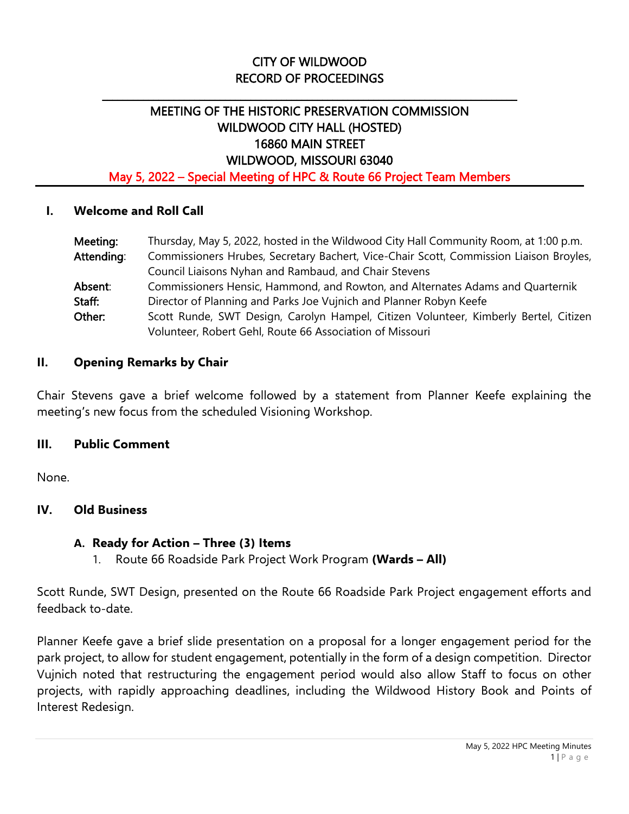# CITY OF WILDWOOD RECORD OF PROCEEDINGS

\_\_\_\_\_\_\_\_\_\_\_\_\_\_\_\_\_\_\_\_\_\_\_\_\_\_\_\_\_\_\_\_\_\_\_\_\_\_\_\_\_\_\_\_\_\_\_\_\_\_\_\_\_\_\_\_\_\_\_\_\_\_\_\_\_\_\_\_\_\_\_\_\_\_\_\_\_\_\_\_\_

# MEETING OF THE HISTORIC PRESERVATION COMMISSION WILDWOOD CITY HALL (HOSTED) 16860 MAIN STREET WILDWOOD, MISSOURI 63040

May 5, 2022 – Special Meeting of HPC & Route 66 Project Team Members

### **I. Welcome and Roll Call**

| Meeting:   | Thursday, May 5, 2022, hosted in the Wildwood City Hall Community Room, at 1:00 p.m.   |
|------------|----------------------------------------------------------------------------------------|
| Attending: | Commissioners Hrubes, Secretary Bachert, Vice-Chair Scott, Commission Liaison Broyles, |
|            | Council Liaisons Nyhan and Rambaud, and Chair Stevens                                  |
| Absent:    | Commissioners Hensic, Hammond, and Rowton, and Alternates Adams and Quarternik         |
| Staff:     | Director of Planning and Parks Joe Vujnich and Planner Robyn Keefe                     |
| Other:     | Scott Runde, SWT Design, Carolyn Hampel, Citizen Volunteer, Kimberly Bertel, Citizen   |
|            | Volunteer, Robert Gehl, Route 66 Association of Missouri                               |

### **II. Opening Remarks by Chair**

Chair Stevens gave a brief welcome followed by a statement from Planner Keefe explaining the meeting's new focus from the scheduled Visioning Workshop.

### **III. Public Comment**

None.

### **IV. Old Business**

### **A. Ready for Action – Three (3) Items**

1. Route 66 Roadside Park Project Work Program **(Wards – All)**

Scott Runde, SWT Design, presented on the Route 66 Roadside Park Project engagement efforts and feedback to-date.

Planner Keefe gave a brief slide presentation on a proposal for a longer engagement period for the park project, to allow for student engagement, potentially in the form of a design competition. Director Vujnich noted that restructuring the engagement period would also allow Staff to focus on other projects, with rapidly approaching deadlines, including the Wildwood History Book and Points of Interest Redesign.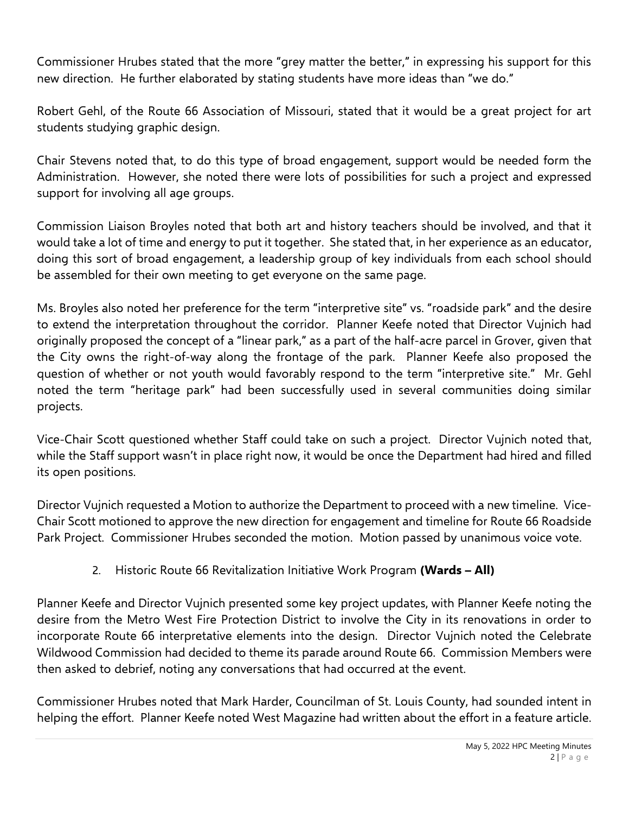Commissioner Hrubes stated that the more "grey matter the better," in expressing his support for this new direction. He further elaborated by stating students have more ideas than "we do."

Robert Gehl, of the Route 66 Association of Missouri, stated that it would be a great project for art students studying graphic design.

Chair Stevens noted that, to do this type of broad engagement, support would be needed form the Administration. However, she noted there were lots of possibilities for such a project and expressed support for involving all age groups.

Commission Liaison Broyles noted that both art and history teachers should be involved, and that it would take a lot of time and energy to put it together. She stated that, in her experience as an educator, doing this sort of broad engagement, a leadership group of key individuals from each school should be assembled for their own meeting to get everyone on the same page.

Ms. Broyles also noted her preference for the term "interpretive site" vs. "roadside park" and the desire to extend the interpretation throughout the corridor. Planner Keefe noted that Director Vujnich had originally proposed the concept of a "linear park," as a part of the half-acre parcel in Grover, given that the City owns the right-of-way along the frontage of the park. Planner Keefe also proposed the question of whether or not youth would favorably respond to the term "interpretive site." Mr. Gehl noted the term "heritage park" had been successfully used in several communities doing similar projects.

Vice-Chair Scott questioned whether Staff could take on such a project. Director Vujnich noted that, while the Staff support wasn't in place right now, it would be once the Department had hired and filled its open positions.

Director Vujnich requested a Motion to authorize the Department to proceed with a new timeline. Vice-Chair Scott motioned to approve the new direction for engagement and timeline for Route 66 Roadside Park Project. Commissioner Hrubes seconded the motion. Motion passed by unanimous voice vote.

2. Historic Route 66 Revitalization Initiative Work Program **(Wards – All)**

Planner Keefe and Director Vujnich presented some key project updates, with Planner Keefe noting the desire from the Metro West Fire Protection District to involve the City in its renovations in order to incorporate Route 66 interpretative elements into the design. Director Vujnich noted the Celebrate Wildwood Commission had decided to theme its parade around Route 66. Commission Members were then asked to debrief, noting any conversations that had occurred at the event.

Commissioner Hrubes noted that Mark Harder, Councilman of St. Louis County, had sounded intent in helping the effort. Planner Keefe noted West Magazine had written about the effort in a feature article.